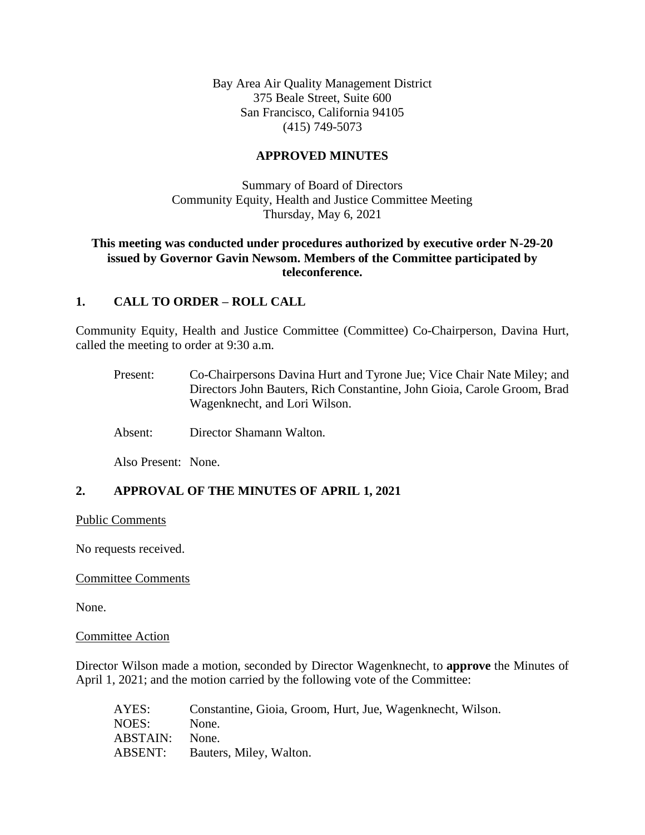Bay Area Air Quality Management District 375 Beale Street, Suite 600 San Francisco, California 94105 (415) 749-5073

## **APPROVED MINUTES**

Summary of Board of Directors Community Equity, Health and Justice Committee Meeting Thursday, May 6, 2021

## **This meeting was conducted under procedures authorized by executive order N-29-20 issued by Governor Gavin Newsom. Members of the Committee participated by teleconference.**

## **1. CALL TO ORDER – ROLL CALL**

Community Equity, Health and Justice Committee (Committee) Co-Chairperson, Davina Hurt, called the meeting to order at 9:30 a.m.

- Present: Co-Chairpersons Davina Hurt and Tyrone Jue; Vice Chair Nate Miley; and Directors John Bauters, Rich Constantine, John Gioia, Carole Groom, Brad Wagenknecht, and Lori Wilson.
- Absent: Director Shamann Walton.

Also Present: None.

# **2. APPROVAL OF THE MINUTES OF APRIL 1, 2021**

Public Comments

No requests received.

#### Committee Comments

None.

#### Committee Action

Director Wilson made a motion, seconded by Director Wagenknecht, to **approve** the Minutes of April 1, 2021; and the motion carried by the following vote of the Committee:

| AYES:    | Constantine, Gioia, Groom, Hurt, Jue, Wagenknecht, Wilson. |
|----------|------------------------------------------------------------|
| NOES:    | None.                                                      |
| ABSTAIN: | None.                                                      |
| ABSENT:  | Bauters, Miley, Walton.                                    |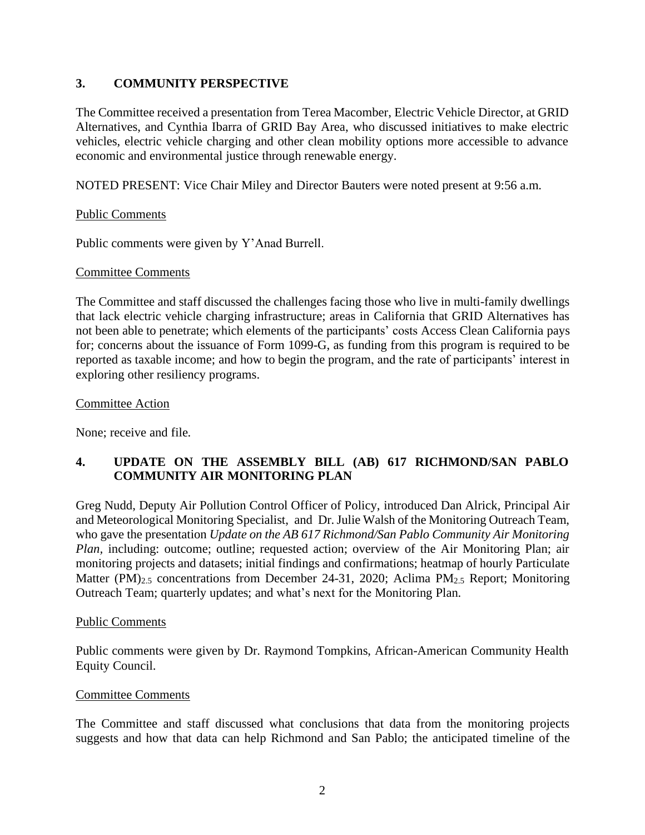# **3. COMMUNITY PERSPECTIVE**

The Committee received a presentation from Terea Macomber, Electric Vehicle Director, at GRID Alternatives, and Cynthia Ibarra of GRID Bay Area, who discussed initiatives to make electric vehicles, electric vehicle charging and other clean mobility options more accessible to advance economic and environmental justice through renewable energy.

NOTED PRESENT: Vice Chair Miley and Director Bauters were noted present at 9:56 a.m.

## Public Comments

Public comments were given by Y'Anad Burrell.

## Committee Comments

The Committee and staff discussed the challenges facing those who live in multi-family dwellings that lack electric vehicle charging infrastructure; areas in California that GRID Alternatives has not been able to penetrate; which elements of the participants' costs Access Clean California pays for; concerns about the issuance of Form 1099-G, as funding from this program is required to be reported as taxable income; and how to begin the program, and the rate of participants' interest in exploring other resiliency programs.

## Committee Action

None; receive and file.

# **4. UPDATE ON THE ASSEMBLY BILL (AB) 617 RICHMOND/SAN PABLO COMMUNITY AIR MONITORING PLAN**

Greg Nudd, Deputy Air Pollution Control Officer of Policy, introduced Dan Alrick, Principal Air and Meteorological Monitoring Specialist, and Dr. Julie Walsh of the Monitoring Outreach Team, who gave the presentation *Update on the AB 617 Richmond/San Pablo Community Air Monitoring Plan, including: outcome; outline; requested action; overview of the Air Monitoring Plan; air* monitoring projects and datasets; initial findings and confirmations; heatmap of hourly Particulate Matter  $(PM)_{2,5}$  concentrations from December 24-31, 2020; Aclima  $PM_{2,5}$  Report; Monitoring Outreach Team; quarterly updates; and what's next for the Monitoring Plan.

## Public Comments

Public comments were given by Dr. Raymond Tompkins, African-American Community Health Equity Council.

## Committee Comments

The Committee and staff discussed what conclusions that data from the monitoring projects suggests and how that data can help Richmond and San Pablo; the anticipated timeline of the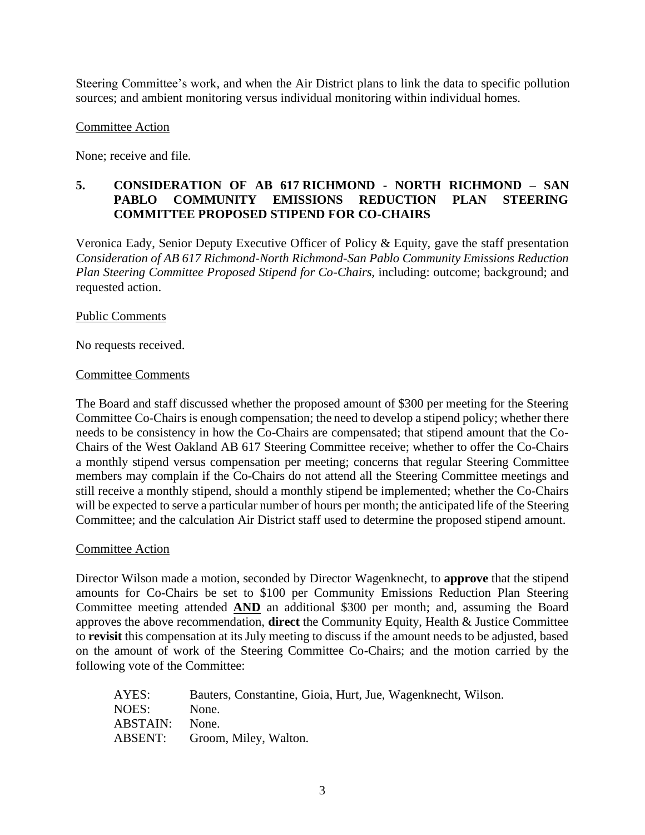Steering Committee's work, and when the Air District plans to link the data to specific pollution sources; and ambient monitoring versus individual monitoring within individual homes.

## Committee Action

None; receive and file.

# **5. CONSIDERATION OF AB 617 RICHMOND - NORTH RICHMOND – SAN PABLO COMMUNITY EMISSIONS REDUCTION PLAN STEERING COMMITTEE PROPOSED STIPEND FOR CO-CHAIRS**

Veronica Eady, Senior Deputy Executive Officer of Policy & Equity, gave the staff presentation *Consideration of AB 617 Richmond-North Richmond-San Pablo Community Emissions Reduction Plan Steering Committee Proposed Stipend for Co-Chairs,* including: outcome; background; and requested action.

### Public Comments

No requests received.

#### Committee Comments

The Board and staff discussed whether the proposed amount of \$300 per meeting for the Steering Committee Co-Chairs is enough compensation; the need to develop a stipend policy; whether there needs to be consistency in how the Co-Chairs are compensated; that stipend amount that the Co-Chairs of the West Oakland AB 617 Steering Committee receive; whether to offer the Co-Chairs a monthly stipend versus compensation per meeting; concerns that regular Steering Committee members may complain if the Co-Chairs do not attend all the Steering Committee meetings and still receive a monthly stipend, should a monthly stipend be implemented; whether the Co-Chairs will be expected to serve a particular number of hours per month; the anticipated life of the Steering Committee; and the calculation Air District staff used to determine the proposed stipend amount.

#### Committee Action

Director Wilson made a motion, seconded by Director Wagenknecht, to **approve** that the stipend amounts for Co-Chairs be set to \$100 per Community Emissions Reduction Plan Steering Committee meeting attended **AND** an additional \$300 per month; and, assuming the Board approves the above recommendation, **direct** the Community Equity, Health & Justice Committee to **revisit** this compensation at its July meeting to discuss if the amount needs to be adjusted, based on the amount of work of the Steering Committee Co-Chairs; and the motion carried by the following vote of the Committee:

| AYES:          | Bauters, Constantine, Gioia, Hurt, Jue, Wagenknecht, Wilson. |
|----------------|--------------------------------------------------------------|
| NOES:          | None.                                                        |
| ABSTAIN: None. |                                                              |
|                | ABSENT: Groom, Miley, Walton.                                |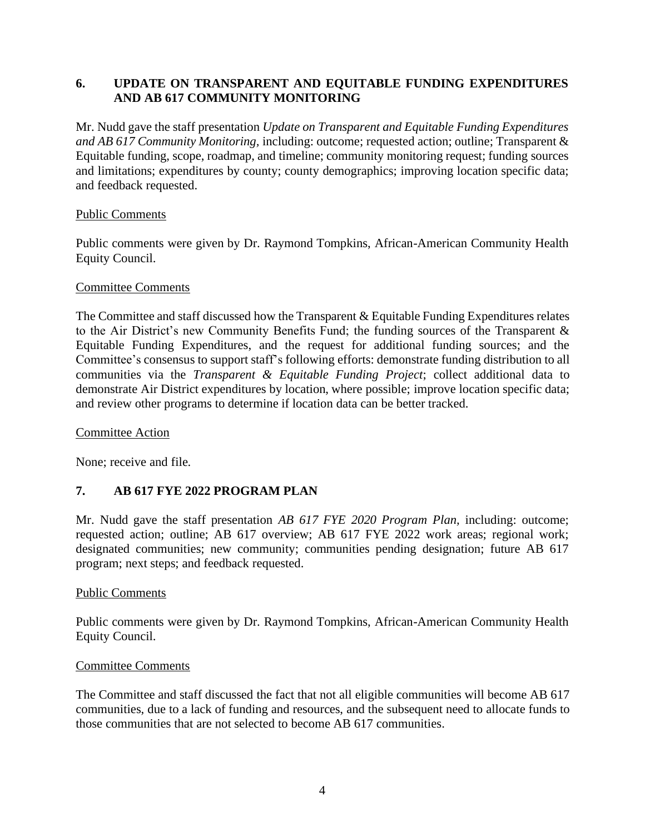# **6. UPDATE ON TRANSPARENT AND EQUITABLE FUNDING EXPENDITURES AND AB 617 COMMUNITY MONITORING**

Mr. Nudd gave the staff presentation *Update on Transparent and Equitable Funding Expenditures and AB 617 Community Monitoring,* including: outcome; requested action; outline; Transparent & Equitable funding, scope, roadmap, and timeline; community monitoring request; funding sources and limitations; expenditures by county; county demographics; improving location specific data; and feedback requested.

## Public Comments

Public comments were given by Dr. Raymond Tompkins, African-American Community Health Equity Council.

## Committee Comments

The Committee and staff discussed how the Transparent & Equitable Funding Expenditures relates to the Air District's new Community Benefits Fund; the funding sources of the Transparent & Equitable Funding Expenditures, and the request for additional funding sources; and the Committee's consensus to support staff's following efforts: demonstrate funding distribution to all communities via the *Transparent & Equitable Funding Project*; collect additional data to demonstrate Air District expenditures by location, where possible; improve location specific data; and review other programs to determine if location data can be better tracked.

## Committee Action

None; receive and file.

# **7. AB 617 FYE 2022 PROGRAM PLAN**

Mr. Nudd gave the staff presentation *AB 617 FYE 2020 Program Plan,* including: outcome; requested action; outline; AB 617 overview; AB 617 FYE 2022 work areas; regional work; designated communities; new community; communities pending designation; future AB 617 program; next steps; and feedback requested.

## Public Comments

Public comments were given by Dr. Raymond Tompkins, African-American Community Health Equity Council.

## Committee Comments

The Committee and staff discussed the fact that not all eligible communities will become AB 617 communities, due to a lack of funding and resources, and the subsequent need to allocate funds to those communities that are not selected to become AB 617 communities.